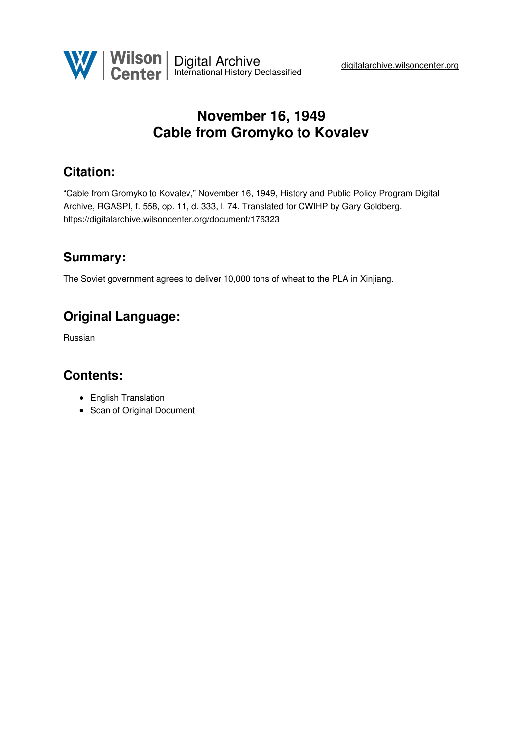

# **November 16, 1949 Cable from Gromyko to Kovalev**

## **Citation:**

"Cable from Gromyko to Kovalev," November 16, 1949, History and Public Policy Program Digital Archive, RGASPI, f. 558, op. 11, d. 333, l. 74. Translated for CWIHP by Gary Goldberg. <https://digitalarchive.wilsoncenter.org/document/176323>

### **Summary:**

The Soviet government agrees to deliver 10,000 tons of wheat to the PLA in Xinjiang.

## **Original Language:**

Russian

### **Contents:**

- English Translation
- Scan of Original Document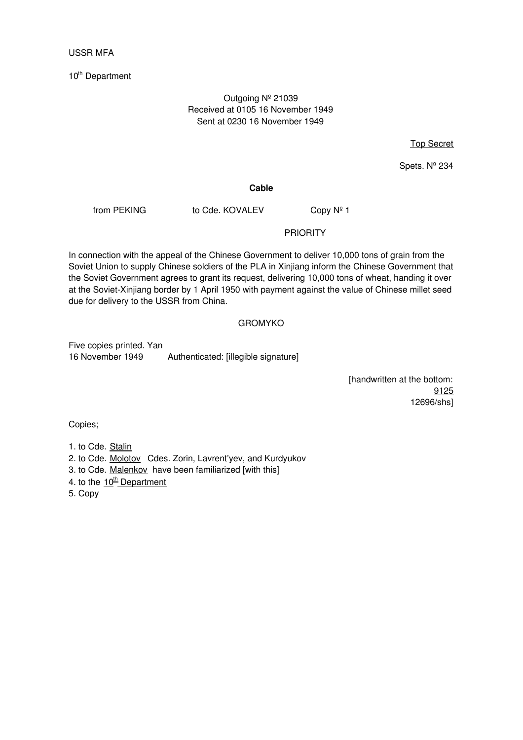#### USSR MFA

10<sup>th</sup> Department

#### Outgoing Nº 21039 Received at 0105 16 November 1949 Sent at 0230 16 November 1949

Top Secret

Spets. Nº 234

#### **Cable**

from PEKING to Cde. KOVALEV Copy Nº 1

#### PRIORITY

In connection with the appeal of the Chinese Government to deliver 10,000 tons of grain from the Soviet Union to supply Chinese soldiers of the PLA in Xinjiang inform the Chinese Government that the Soviet Government agrees to grant its request, delivering 10,000 tons of wheat, handing it over at the Soviet-Xinjiang border by 1 April 1950 with payment against the value of Chinese millet seed due for delivery to the USSR from China.

#### GROMYKO

Five copies printed. Yan 16 November 1949 Authenticated: [illegible signature]

> [handwritten at the bottom: 9125 12696/shs]

Copies;

### 1. to Cde. Stalin

- 2. to Cde. Molotov Cdes. Zorin, Lavrent'yev, and Kurdyukov
- 3. to Cde. Malenkov have been familiarized [with this]
- 4. to the 10<sup>th</sup> Department
- 5. Copy